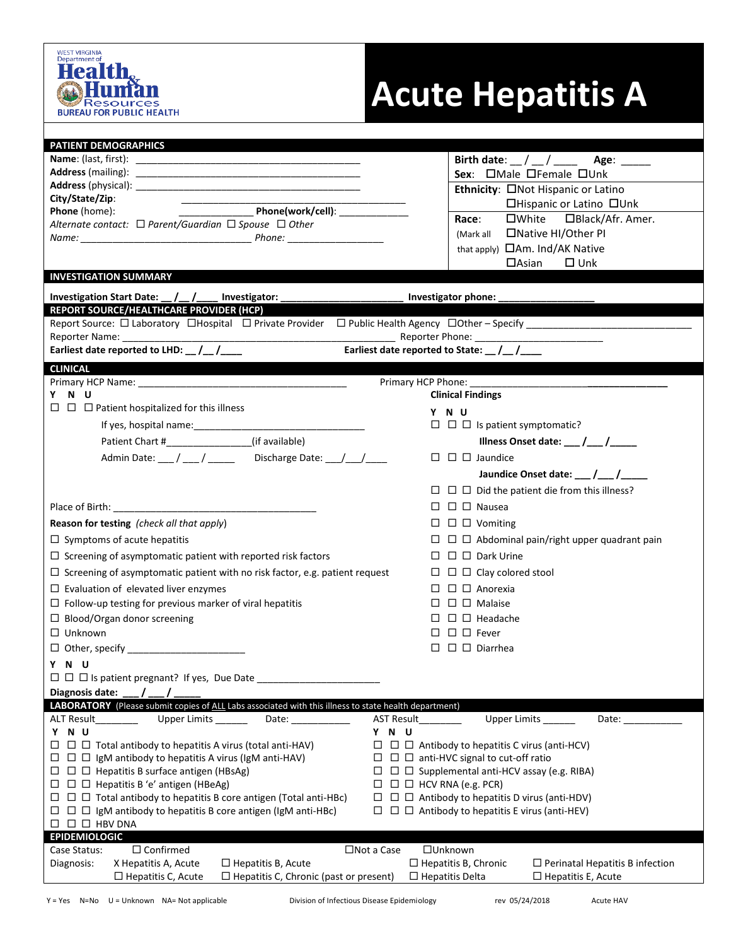

## **Acute Hepatitis A**

| <b>PATIENT DEMOGRAPHICS</b>                                                                                                               |                                                                       |  |  |  |
|-------------------------------------------------------------------------------------------------------------------------------------------|-----------------------------------------------------------------------|--|--|--|
|                                                                                                                                           | Birth date: $\frac{1}{2}$ / $\frac{1}{2}$ Age: $\frac{1}{2}$          |  |  |  |
|                                                                                                                                           | Sex: OMale OFemale OUnk                                               |  |  |  |
|                                                                                                                                           | Ethnicity: ONot Hispanic or Latino                                    |  |  |  |
| City/State/Zip:                                                                                                                           | □Hispanic or Latino □Unk                                              |  |  |  |
| Phone(work/cell): _____________<br>Phone (home):                                                                                          | $\square$ White $\square$ Black/Afr. Amer.<br>Race:                   |  |  |  |
| Alternate contact: $\Box$ Parent/Guardian $\Box$ Spouse $\Box$ Other                                                                      |                                                                       |  |  |  |
|                                                                                                                                           | (Mark all <b>INative HI/Other PI</b>                                  |  |  |  |
|                                                                                                                                           | that apply) <b>CAm. Ind/AK Native</b>                                 |  |  |  |
|                                                                                                                                           | $\Box$ Asian $\Box$ Unk                                               |  |  |  |
| <b>INVESTIGATION SUMMARY</b>                                                                                                              |                                                                       |  |  |  |
| Investigation Start Date: __/__/____ Investigator: _____________________________                                                          | Investigator phone: __________                                        |  |  |  |
| REPORT SOURCE/HEALTHCARE PROVIDER (HCP)                                                                                                   |                                                                       |  |  |  |
|                                                                                                                                           |                                                                       |  |  |  |
|                                                                                                                                           |                                                                       |  |  |  |
| Earliest date reported to LHD: __ /__ /____                                                                                               | Earliest date reported to State: __ /__ /____                         |  |  |  |
| <b>CLINICAL</b>                                                                                                                           |                                                                       |  |  |  |
|                                                                                                                                           |                                                                       |  |  |  |
| Y N U                                                                                                                                     | <b>Clinical Findings</b>                                              |  |  |  |
| $\Box$ $\Box$ Patient hospitalized for this illness                                                                                       | Y N U                                                                 |  |  |  |
|                                                                                                                                           | $\Box$ $\Box$ Is patient symptomatic?                                 |  |  |  |
| (if available)                                                                                                                            | Illness Onset date: $\frac{1}{\sqrt{1-\frac{1}{2}}}$                  |  |  |  |
|                                                                                                                                           |                                                                       |  |  |  |
| Admin Date: ___ / ___ / ____ Discharge Date: __ / __ / ___                                                                                | $\Box$ $\Box$ Jaundice                                                |  |  |  |
|                                                                                                                                           | Jaundice Onset date: 11 /                                             |  |  |  |
|                                                                                                                                           | $\Box$ $\Box$ $\Box$ Did the patient die from this illness?           |  |  |  |
|                                                                                                                                           | $\square$ $\square$ $\square$ Nausea                                  |  |  |  |
| Reason for testing (check all that apply)                                                                                                 | $\Box$ $\Box$ $\Box$ Vomiting                                         |  |  |  |
| $\Box$ Symptoms of acute hepatitis                                                                                                        | $\Box$ $\Box$ Abdominal pain/right upper quadrant pain                |  |  |  |
|                                                                                                                                           |                                                                       |  |  |  |
| $\Box$ Screening of asymptomatic patient with reported risk factors                                                                       | $\Box$ $\Box$ $\Box$ Dark Urine                                       |  |  |  |
| $\Box$ Screening of asymptomatic patient with no risk factor, e.g. patient request                                                        | $\Box$ $\Box$ $\Box$ Clay colored stool                               |  |  |  |
| $\square$ Evaluation of elevated liver enzymes                                                                                            | $\Box$ $\Box$ Anorexia                                                |  |  |  |
| $\Box$ Follow-up testing for previous marker of viral hepatitis                                                                           | $\Box$ $\Box$ $\Box$ Malaise                                          |  |  |  |
| $\Box$ Blood/Organ donor screening                                                                                                        | $\Box$ $\Box$ Headache                                                |  |  |  |
| $\Box$ Unknown                                                                                                                            | $\Box$ $\Box$ $\Box$ Fever                                            |  |  |  |
|                                                                                                                                           | $\Box$ $\Box$ Diarrhea                                                |  |  |  |
| Y N U                                                                                                                                     |                                                                       |  |  |  |
| $\Box$ $\Box$ Is patient pregnant? If yes, Due Date _                                                                                     |                                                                       |  |  |  |
| Diagnosis date:                                                                                                                           |                                                                       |  |  |  |
| LABORATORY (Please submit copies of ALL Labs associated with this illness to state health department)                                     |                                                                       |  |  |  |
| Upper Limits _______<br><b>AST Result</b><br>ALT Result <b>ALT</b><br>Date: $\_$                                                          | Upper Limits _______<br>Date: $\_\_$                                  |  |  |  |
| Y N U<br>Y N U                                                                                                                            |                                                                       |  |  |  |
| $\Box$ $\Box$ Total antibody to hepatitis A virus (total anti-HAV)                                                                        | $\Box$ $\Box$ Antibody to hepatitis C virus (anti-HCV)                |  |  |  |
| $\Box$ $\Box$ IgM antibody to hepatitis A virus (IgM anti-HAV)                                                                            | $\Box$ $\Box$ anti-HVC signal to cut-off ratio                        |  |  |  |
| $\Box$ $\Box$ Hepatitis B surface antigen (HBsAg)<br>$\Box$ $\Box$ Supplemental anti-HCV assay (e.g. RIBA)                                |                                                                       |  |  |  |
| $\Box$ $\Box$ Hepatitis B 'e' antigen (HBeAg)<br>$\Box$ $\Box$ $\Box$ HCV RNA (e.g. PCR)                                                  |                                                                       |  |  |  |
| $\Box$ $\Box$ Total antibody to hepatitis B core antigen (Total anti-HBc)<br>$\Box$ $\Box$ Antibody to hepatitis D virus (anti-HDV)<br>ш. |                                                                       |  |  |  |
| $\Box$ $\Box$ IgM antibody to hepatitis B core antigen (IgM anti-HBc)<br>$\Box$ $\Box$ Antibody to hepatitis E virus (anti-HEV)           |                                                                       |  |  |  |
| $\Box$ $\Box$ $\Box$ HBV DNA                                                                                                              |                                                                       |  |  |  |
| <b>EPIDEMIOLOGIC</b>                                                                                                                      |                                                                       |  |  |  |
| $\Box$ Confirmed<br>Case Status:<br>$\square$ Not a Case                                                                                  | □Unknown                                                              |  |  |  |
| X Hepatitis A, Acute<br>Diagnosis:<br>$\Box$ Hepatitis B, Acute                                                                           | $\Box$ Hepatitis B, Chronic<br>$\Box$ Perinatal Hepatitis B infection |  |  |  |
| $\Box$ Hepatitis C, Chronic (past or present)<br>$\square$ Hepatitis C, Acute                                                             | $\Box$ Hepatitis Delta<br>$\Box$ Hepatitis E, Acute                   |  |  |  |
|                                                                                                                                           |                                                                       |  |  |  |